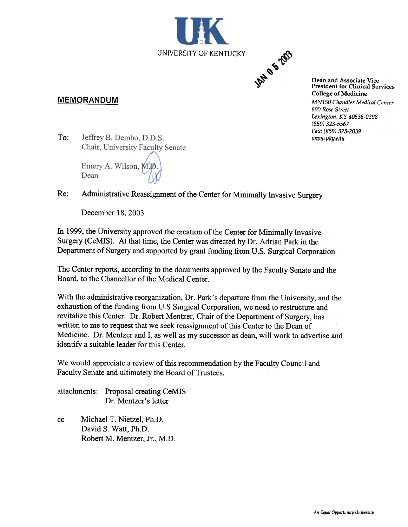

#### MEMORANDUM

Dean and Associate Vice President for Clinical Services College of Medicine MN150 Chandler Medical Center 800 Rose Street Lexington, KY 40536-0298 (859) 323-5567 Fax: (859) 323-2039

To: Jeffrey B. Dembo, D.D.S.<br>Chair, University Faculty Senate

Emery A. Wilson, M.D. Dean

#### Re: Administrative Reassignment of the Center for Minimally Invasive Surgery

December 18, 2003

In 1999, the University approved the creation of the Center for Minimally Invasive Surgery (CeMIS). At that time, the Center was directed by Dr. Adrian Park in the Department of Surgery and supported by grant funding from U.S. Surgical Corporation.

The Center reports, according to the documents approved by the Faculty Senate and the Board, to the Chancellor of the Medical Center.

With the administrative reorganization, Dr. Park's departure from the University, and the exhaustion of the funding from U.S Surgical Corporation, we need to restructure and revitalize this Center. Dr. Robert Mentzer, Chair of the Department of Surgery, has written to me to request that we seek reassignment of this Center to the Dean of Medicine. Dr. Mentzer and I, as well as my successor as dean, will work to advertise and identify a suitable leader for this Center.

We would appreciate a review of this recommendation by the Faculty Council and Faculty Senate and ultimately the Board of Trustees.

attachments Proposal creating CeMIS Dr. Mentzer's letter

cc Michael T. Nietzel, Ph.D. David S. Watt, Ph.D. Robert M. Mentzer, Jr., M.D.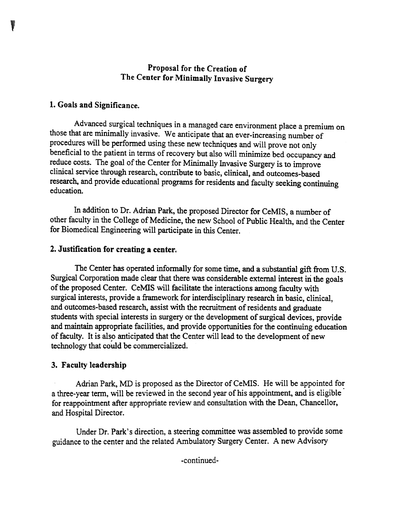# Proposal for the Creation of The Center for Minimally Invasive Surgery

# 1. Goals and Significance.

Advanced surgical techniques in a managed care environment place a premium on those that are minimally invasive. We anticipate that an ever-increasing number of procedures will be performed using these new techniques and will prove not only beneficial to the patient in terms of recovery but also will minimize bed occupancy and reduce costs. The goal of the Center for Minimally Invasive Surgery is to improve clinical service through research, contribute to basic, clinical, and outcomes-based research, and provide educational programs for residents and faculty seeking continuing education.

In addition to Dr. Adrian Park, the proposed Director for CeMIS, a number of other faculty in the College of Medicine, the new School of Public Health, and the Center for Biomedical Engineering will participate in this Center.

#### 2. Justification for creating a center.

The Center has operated informally for some time, and a substantial gift from U.S. Surgical Corporation made clear that there was considerable external interest in the goals of the proposed Center. CeMIS will facilitate the interactions among faculty with surgical interests, provide a framework for interdisciplinary research in basic, clinical, and outcomes-based research, assist with the recruitment of residents and graduate students with special interests in surgery or the development of surgical devices, provide and maintain appropriate facilities, and provide opportunities for the continuing education of faculty. It is also anticipated that the Center will lead to the development of new technology that could be commercialized.

#### 3. Faculty leadership

Adrian Park, MD is proposed as the Director of CeMIS. He will be appointed for a three-year term, will be reviewed in the second year of his appointment, and is eligible for reappointment after appropriate review and consultation with the Dean, Chancellor, and Hospital Director.

Under Dr. Park's direction, a steering committee was assembled to provide some guidance to the center and the related Ambulatory Surgery Center. A new Advisory

-continued-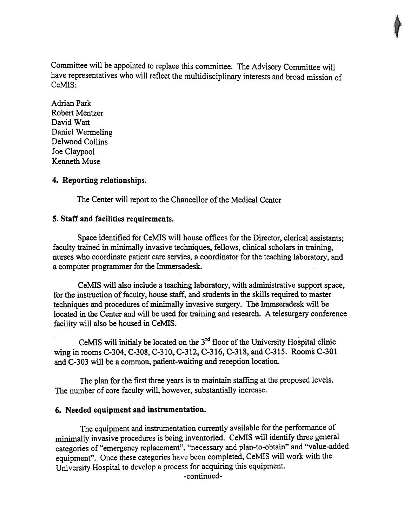Committee will be appointed to replace this committee. The Advisory Committee will have representatives who will reflect the multidisciplinary interests and broad mission of CeMIS:

Adrian Park Robert Mentzer David Watt Daniel Wermeling Delwood Collins Joe Claypool Kenneth Muse

## 4. Reporting relationships.

The Center will report to the Chancellor of the Medical Center

## 5. Staff and facilities requirements.

Space identified for CeMIS will house offices for the Director, clerical assistants; faculty trained in minimally invasive techniques, fellows, clinical scholars in training, nurses who coordinate patient care servies, a coordinator for the teaching laboratory, and a computer programmer for the Immersadesk.

CeMiS will also include a teaching laboratory, with administrative support space, for the instruction of faculty, house staff, and students in the skills required to master techniques and procedures of minimally invasive surgery. The Immseradesk will be located in the Center and will be used for training and research. A telesurgery conference facility will also be housed in CeMiS.

CeMIS will initialy be located on the  $3<sup>rd</sup>$  floor of the University Hospital clinic wing in rooms C-304, C-308, C-310,.C-312, C-316, C-318, and C-315. Rooms C-301 and C-303 will be a common, patient-waiting and reception location.

The plan for the first three years is to maintain staffing at the proposed levels. The number of core faculty will, however, substantially increase.

## 6. Needed equipment and instrumentation.

The equipment and instrumentation currently available for the performance of minimally invasive procedures is being inventoried. CeMIS will identify three general categories of "emergency replacement", "necessary and plan-to-obtain" and "value-added equipment". Once these categories have been completed, CeMIS will work with the University Hospital to develop a process for acquiring this equipment.

-continued-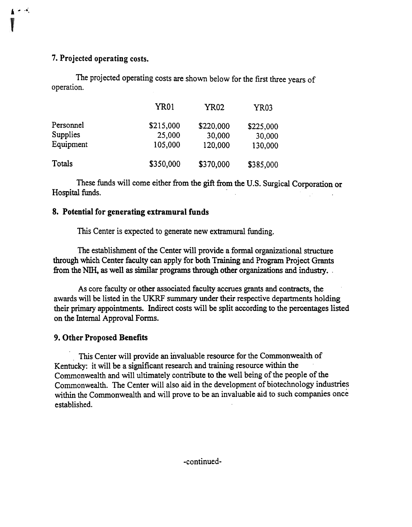## 7. Projected operating costs.

 $\mathbf{I} \subset \mathbb{R}$ 

The projected operating costs are shown below for the first three years of operation.

|                 | <b>YR01</b> | YR02      | YR03      |
|-----------------|-------------|-----------|-----------|
| Personnel       | \$215,000   | \$220,000 | \$225,000 |
| <b>Supplies</b> | 25,000      | 30,000    | 30,000    |
| Equipment       | 105,000     | 120,000   | 130,000   |
| Totals          | \$350,000   | \$370,000 | \$385,000 |

These funds will come either from the gift from the U.S. Surgical Corporation or Hospital funds.

# 8. Potential for generating extramural funds

This Center is expected to generate new extramural funding.

The establishment of the Center will provide a formal organizational structure through which Center faculty can apply for both Training and Program Project Grants from the NIH, as well as similar programs through other organizations and industry.

As core faculty or other associated faculty accrues grants and contracts, the awards will be listed in the UKRF summary under their respective departments holding their primary appointments. Indirect costs will be split according to the percentages listed on the Internal Approval Forms.

# 9. Other Proposed Benefits

This Center will provide an invaluable resource for the Commonwealth of Kentucky: it will be a significant research and training resource within the Commonwealth and will ultimately contribute to the well being of the people of the Commonwealth. The Center will also aid in the development of biotechnology industries within the Commonwealth and will prove to be an invaluable aid to such companies once established.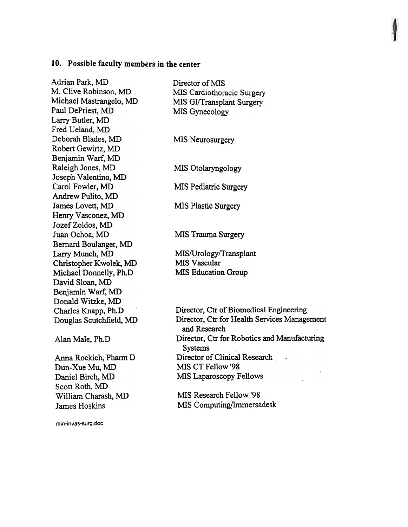#### 10. Possible faculty members in the center

Adrian Park, MD M. Clive Robinson, MD Michael Mastrangelo, MD Paul DePriest, MD Larry Butler, MD Fred Ueland, MD Deborah Blades, MD Robert Gewirtz, MD Benjamin Warf, MD Raleigh Jones, MD Joseph Valentino, MD Carol Fowler, MD Andrew Pulito, MD James Lovett, MD Henry Vasconez, MD Jozef Zoldos, MD Juan Ochoa, MD Bernard Boulanger, MD Larry Munch, MD Christopher Kwolek, MD Michael Donnelly, Ph.D David Sloan, MD Benjamin Warf, MD Donald Witzke, MD Charles Knapp, Ph.D Douglas Scutchfield, MD

Alan Male, Ph.D

Anna Rockich, Pharm D Dun-Xue Mu, MD Daniel Birch, MD Scott Roth, MD William Charash, MD James Hoskins

min-invas-surg.doc

Director of MIS MIS Cardiothoracic Surgery MIS GI/Transplant Surgery MIS Gynecology

MIS Neurosurgery

MIS Otolaryngology

MIS Pediatric Surgery

MIS Plastic Surgery

MIS Trauma Surgery

MIS/Urology/Transplant MIS Vascular MIS Education Group

Director, Ctr of Biomedical Engineering Director, Ctr for Health Services Management and Research Director, Ctr for Robotics and Manufacturing Systems Director of Clinical Research . MIS CT Fellow '98 MIS Laparoscopy Fellows

MIS Research Fellow '98 MIS Computing/Immersadesk